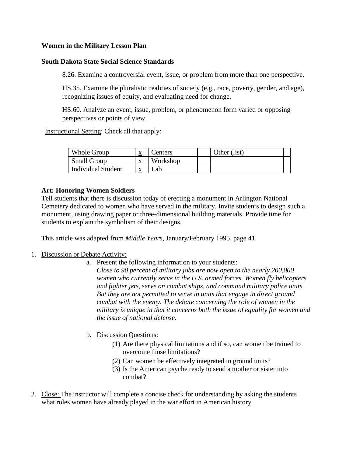## **Women in the Military Lesson Plan**

## **South Dakota State Social Science Standards**

8.26. Examine a controversial event, issue, or problem from more than one perspective.

HS.35. Examine the pluralistic realities of society (e.g., race, poverty, gender, and age), recognizing issues of equity, and evaluating need for change.

HS.60. Analyze an event, issue, problem, or phenomenon form varied or opposing perspectives or points of view.

Instructional Setting: Check all that apply:

| Whole Group               | v<br>$\Delta$ | enters   | Other (list) |  |
|---------------------------|---------------|----------|--------------|--|
| <b>Small Group</b>        | ▵             | Workshop |              |  |
| <b>Individual Student</b> | л             | _ab      |              |  |

## **Art: Honoring Women Soldiers**

Tell students that there is discussion today of erecting a monument in Arlington National Cemetery dedicated to women who have served in the military. Invite students to design such a monument, using drawing paper or three-dimensional building materials. Provide time for students to explain the symbolism of their designs.

This article was adapted from *Middle Years,* January/February 1995, page 41.

## 1. Discussion or Debate Activity:

- a. Present the following information to your students:  *Close to 90 percent of military jobs are now open to the nearly 200,000 women who currently serve in the U.S. armed forces. Women fly helicopters and fighter jets, serve on combat ships, and command military police units.*  But they are not permitted to serve in units that engage in direct ground  *combat with the enemy. The debate concerning the role of women in the military is unique in that it concerns both the issue of equality for women and the issue of national defense.*
- b. Discussion Questions:
	- (1) Are there physical limitations and if so, can women be trained to overcome those limitations?
	- (2) Can women be effectively integrated in ground units?
	- (3) Is the American psyche ready to send a mother or sister into combat?
- 2. Close: The instructor will complete a concise check for understanding by asking the students what roles women have already played in the war effort in American history.